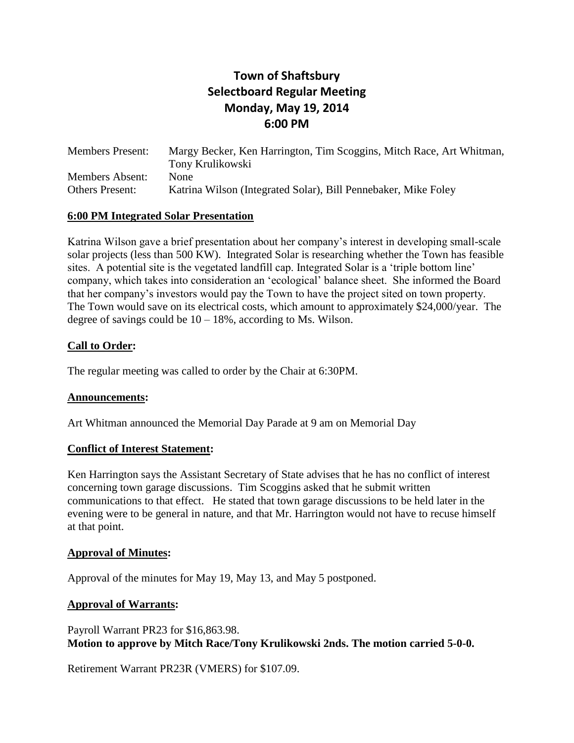# **Town of Shaftsbury Selectboard Regular Meeting Monday, May 19, 2014 6:00 PM**

Members Present: Margy Becker, Ken Harrington, Tim Scoggins, Mitch Race, Art Whitman, Tony Krulikowski Members Absent: None Others Present: Katrina Wilson (Integrated Solar), Bill Pennebaker, Mike Foley

# **6:00 PM Integrated Solar Presentation**

Katrina Wilson gave a brief presentation about her company's interest in developing small-scale solar projects (less than 500 KW). Integrated Solar is researching whether the Town has feasible sites. A potential site is the vegetated landfill cap. Integrated Solar is a 'triple bottom line' company, which takes into consideration an 'ecological' balance sheet. She informed the Board that her company's investors would pay the Town to have the project sited on town property. The Town would save on its electrical costs, which amount to approximately \$24,000/year. The degree of savings could be  $10 - 18\%$ , according to Ms. Wilson.

# **Call to Order:**

The regular meeting was called to order by the Chair at 6:30PM.

# **Announcements:**

Art Whitman announced the Memorial Day Parade at 9 am on Memorial Day

# **Conflict of Interest Statement:**

Ken Harrington says the Assistant Secretary of State advises that he has no conflict of interest concerning town garage discussions. Tim Scoggins asked that he submit written communications to that effect. He stated that town garage discussions to be held later in the evening were to be general in nature, and that Mr. Harrington would not have to recuse himself at that point.

# **Approval of Minutes:**

Approval of the minutes for May 19, May 13, and May 5 postponed.

# **Approval of Warrants:**

Payroll Warrant PR23 for \$16,863.98. **Motion to approve by Mitch Race/Tony Krulikowski 2nds. The motion carried 5-0-0.**

Retirement Warrant PR23R (VMERS) for \$107.09.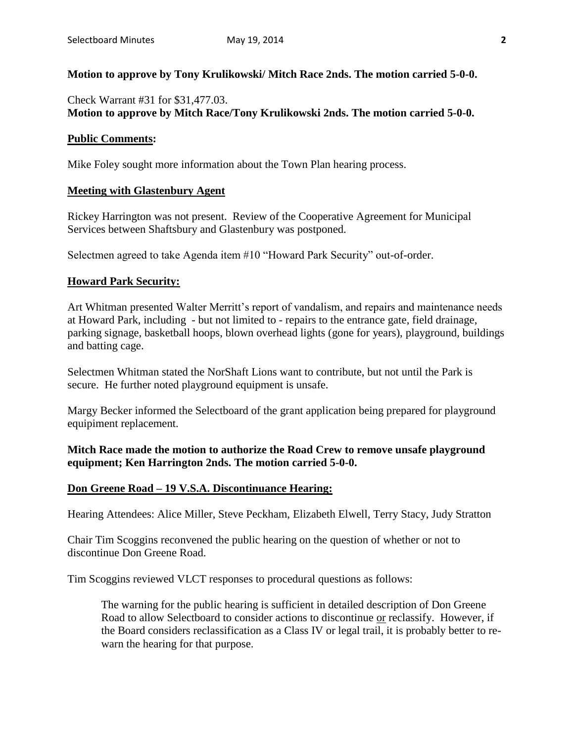### **Motion to approve by Tony Krulikowski/ Mitch Race 2nds. The motion carried 5-0-0.**

# Check Warrant #31 for \$31,477.03. **Motion to approve by Mitch Race/Tony Krulikowski 2nds. The motion carried 5-0-0.**

### **Public Comments:**

Mike Foley sought more information about the Town Plan hearing process.

### **Meeting with Glastenbury Agent**

Rickey Harrington was not present. Review of the Cooperative Agreement for Municipal Services between Shaftsbury and Glastenbury was postponed.

Selectmen agreed to take Agenda item #10 "Howard Park Security" out-of-order.

### **Howard Park Security:**

Art Whitman presented Walter Merritt's report of vandalism, and repairs and maintenance needs at Howard Park, including - but not limited to - repairs to the entrance gate, field drainage, parking signage, basketball hoops, blown overhead lights (gone for years), playground, buildings and batting cage.

Selectmen Whitman stated the NorShaft Lions want to contribute, but not until the Park is secure. He further noted playground equipment is unsafe.

Margy Becker informed the Selectboard of the grant application being prepared for playground equipiment replacement.

# **Mitch Race made the motion to authorize the Road Crew to remove unsafe playground equipment; Ken Harrington 2nds. The motion carried 5-0-0.**

### **Don Greene Road – 19 V.S.A. Discontinuance Hearing:**

Hearing Attendees: Alice Miller, Steve Peckham, Elizabeth Elwell, Terry Stacy, Judy Stratton

Chair Tim Scoggins reconvened the public hearing on the question of whether or not to discontinue Don Greene Road.

Tim Scoggins reviewed VLCT responses to procedural questions as follows:

The warning for the public hearing is sufficient in detailed description of Don Greene Road to allow Selectboard to consider actions to discontinue or reclassify. However, if the Board considers reclassification as a Class IV or legal trail, it is probably better to rewarn the hearing for that purpose.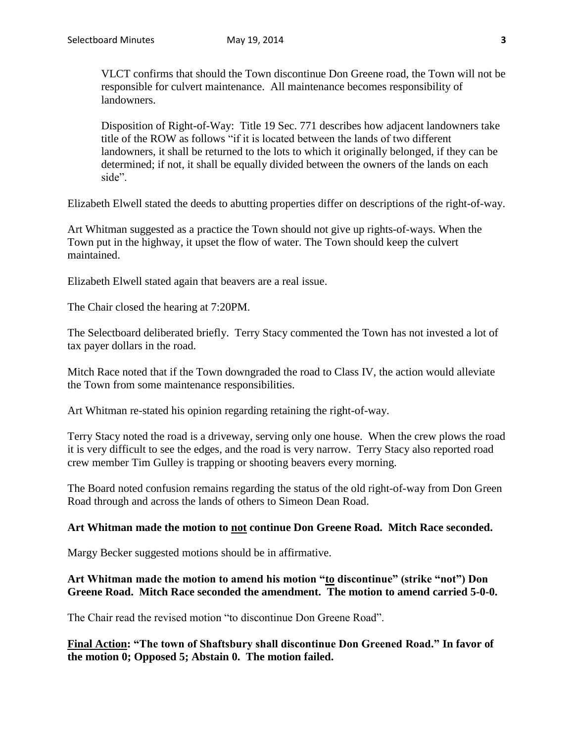VLCT confirms that should the Town discontinue Don Greene road, the Town will not be responsible for culvert maintenance. All maintenance becomes responsibility of landowners.

Disposition of Right-of-Way: Title 19 Sec. 771 describes how adjacent landowners take title of the ROW as follows "if it is located between the lands of two different landowners, it shall be returned to the lots to which it originally belonged, if they can be determined; if not, it shall be equally divided between the owners of the lands on each side".

Elizabeth Elwell stated the deeds to abutting properties differ on descriptions of the right-of-way.

Art Whitman suggested as a practice the Town should not give up rights-of-ways. When the Town put in the highway, it upset the flow of water. The Town should keep the culvert maintained.

Elizabeth Elwell stated again that beavers are a real issue.

The Chair closed the hearing at 7:20PM.

The Selectboard deliberated briefly. Terry Stacy commented the Town has not invested a lot of tax payer dollars in the road.

Mitch Race noted that if the Town downgraded the road to Class IV, the action would alleviate the Town from some maintenance responsibilities.

Art Whitman re-stated his opinion regarding retaining the right-of-way.

Terry Stacy noted the road is a driveway, serving only one house. When the crew plows the road it is very difficult to see the edges, and the road is very narrow. Terry Stacy also reported road crew member Tim Gulley is trapping or shooting beavers every morning.

The Board noted confusion remains regarding the status of the old right-of-way from Don Green Road through and across the lands of others to Simeon Dean Road.

#### **Art Whitman made the motion to not continue Don Greene Road. Mitch Race seconded.**

Margy Becker suggested motions should be in affirmative.

# **Art Whitman made the motion to amend his motion "to discontinue" (strike "not") Don Greene Road. Mitch Race seconded the amendment. The motion to amend carried 5-0-0.**

The Chair read the revised motion "to discontinue Don Greene Road".

**Final Action: "The town of Shaftsbury shall discontinue Don Greened Road." In favor of the motion 0; Opposed 5; Abstain 0. The motion failed.**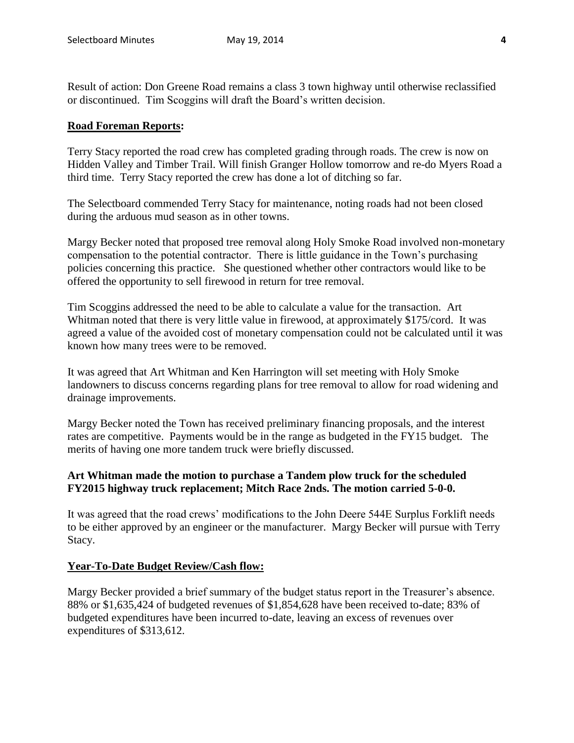Result of action: Don Greene Road remains a class 3 town highway until otherwise reclassified or discontinued. Tim Scoggins will draft the Board's written decision.

### **Road Foreman Reports:**

Terry Stacy reported the road crew has completed grading through roads. The crew is now on Hidden Valley and Timber Trail. Will finish Granger Hollow tomorrow and re-do Myers Road a third time. Terry Stacy reported the crew has done a lot of ditching so far.

The Selectboard commended Terry Stacy for maintenance, noting roads had not been closed during the arduous mud season as in other towns.

Margy Becker noted that proposed tree removal along Holy Smoke Road involved non-monetary compensation to the potential contractor. There is little guidance in the Town's purchasing policies concerning this practice. She questioned whether other contractors would like to be offered the opportunity to sell firewood in return for tree removal.

Tim Scoggins addressed the need to be able to calculate a value for the transaction. Art Whitman noted that there is very little value in firewood, at approximately \$175/cord. It was agreed a value of the avoided cost of monetary compensation could not be calculated until it was known how many trees were to be removed.

It was agreed that Art Whitman and Ken Harrington will set meeting with Holy Smoke landowners to discuss concerns regarding plans for tree removal to allow for road widening and drainage improvements.

Margy Becker noted the Town has received preliminary financing proposals, and the interest rates are competitive. Payments would be in the range as budgeted in the FY15 budget. The merits of having one more tandem truck were briefly discussed.

# **Art Whitman made the motion to purchase a Tandem plow truck for the scheduled FY2015 highway truck replacement; Mitch Race 2nds. The motion carried 5-0-0.**

It was agreed that the road crews' modifications to the John Deere 544E Surplus Forklift needs to be either approved by an engineer or the manufacturer. Margy Becker will pursue with Terry Stacy.

# **Year-To-Date Budget Review/Cash flow:**

Margy Becker provided a brief summary of the budget status report in the Treasurer's absence. 88% or \$1,635,424 of budgeted revenues of \$1,854,628 have been received to-date; 83% of budgeted expenditures have been incurred to-date, leaving an excess of revenues over expenditures of \$313,612.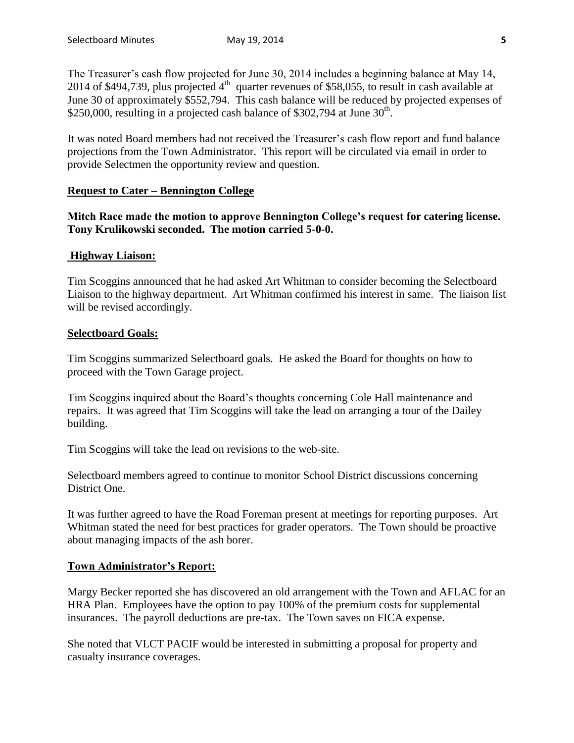The Treasurer's cash flow projected for June 30, 2014 includes a beginning balance at May 14, 2014 of \$494,739, plus projected  $4<sup>th</sup>$  quarter revenues of \$58,055, to result in cash available at June 30 of approximately \$552,794. This cash balance will be reduced by projected expenses of  $$250,000$ , resulting in a projected cash balance of \$302,794 at June 30<sup>th</sup>.

It was noted Board members had not received the Treasurer's cash flow report and fund balance projections from the Town Administrator. This report will be circulated via email in order to provide Selectmen the opportunity review and question.

# **Request to Cater – Bennington College**

**Mitch Race made the motion to approve Bennington College's request for catering license. Tony Krulikowski seconded. The motion carried 5-0-0.**

# **Highway Liaison:**

Tim Scoggins announced that he had asked Art Whitman to consider becoming the Selectboard Liaison to the highway department. Art Whitman confirmed his interest in same. The liaison list will be revised accordingly.

# **Selectboard Goals:**

Tim Scoggins summarized Selectboard goals. He asked the Board for thoughts on how to proceed with the Town Garage project.

Tim Scoggins inquired about the Board's thoughts concerning Cole Hall maintenance and repairs. It was agreed that Tim Scoggins will take the lead on arranging a tour of the Dailey building.

Tim Scoggins will take the lead on revisions to the web-site.

Selectboard members agreed to continue to monitor School District discussions concerning District One.

It was further agreed to have the Road Foreman present at meetings for reporting purposes. Art Whitman stated the need for best practices for grader operators. The Town should be proactive about managing impacts of the ash borer.

# **Town Administrator's Report:**

Margy Becker reported she has discovered an old arrangement with the Town and AFLAC for an HRA Plan. Employees have the option to pay 100% of the premium costs for supplemental insurances. The payroll deductions are pre-tax. The Town saves on FICA expense.

She noted that VLCT PACIF would be interested in submitting a proposal for property and casualty insurance coverages.